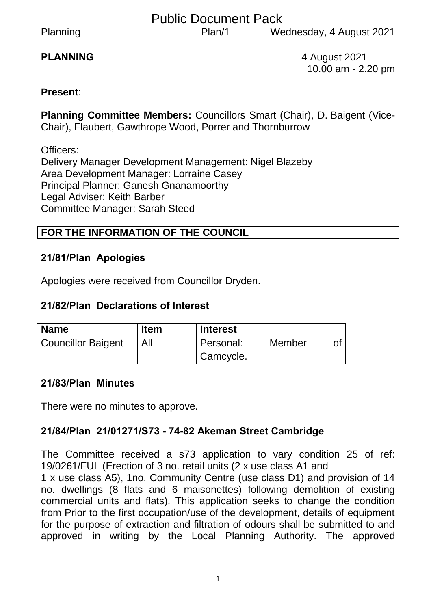|  | Planning |
|--|----------|
|  |          |

**PLANNING** 4 August 2021 10.00 am - 2.20 pm

# **Present**:

**Planning Committee Members:** Councillors Smart (Chair), D. Baigent (Vice-Chair), Flaubert, Gawthrope Wood, Porrer and Thornburrow

Officers: Delivery Manager Development Management: Nigel Blazeby Area Development Manager: Lorraine Casey Principal Planner: Ganesh Gnanamoorthy Legal Adviser: Keith Barber Committee Manager: Sarah Steed

# **FOR THE INFORMATION OF THE COUNCIL**

## **21/81/Plan Apologies**

Apologies were received from Councillor Dryden.

# **21/82/Plan Declarations of Interest**

| <b>Name</b>               | <b>Item</b> | <b>Interest</b> |        |  |
|---------------------------|-------------|-----------------|--------|--|
| <b>Councillor Baigent</b> | All         | Personal:       | Member |  |
|                           |             | Camcycle.       |        |  |

## **21/83/Plan Minutes**

There were no minutes to approve.

# **21/84/Plan 21/01271/S73 - 74-82 Akeman Street Cambridge**

The Committee received a s73 application to vary condition 25 of ref: 19/0261/FUL (Erection of 3 no. retail units (2 x use class A1 and

1 x use class A5), 1no. Community Centre (use class D1) and provision of 14 no. dwellings (8 flats and 6 maisonettes) following demolition of existing commercial units and flats). This application seeks to change the condition from Prior to the first occupation/use of the development, details of equipment for the purpose of extraction and filtration of odours shall be submitted to and approved in writing by the Local Planning Authority. The approved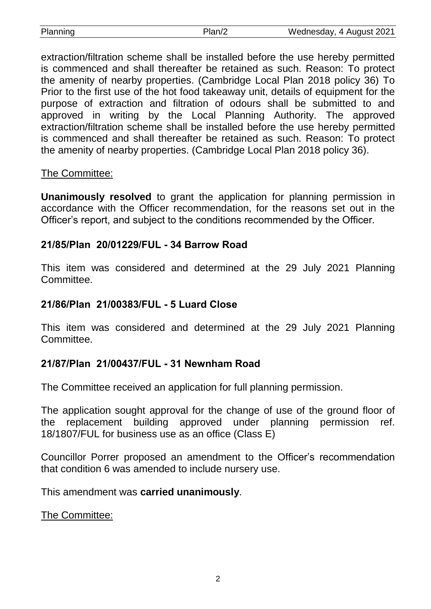| Planning | Plan/2 | Wednesday, 4 August 2021 |
|----------|--------|--------------------------|

extraction/filtration scheme shall be installed before the use hereby permitted is commenced and shall thereafter be retained as such. Reason: To protect the amenity of nearby properties. (Cambridge Local Plan 2018 policy 36) To Prior to the first use of the hot food takeaway unit, details of equipment for the purpose of extraction and filtration of odours shall be submitted to and approved in writing by the Local Planning Authority. The approved extraction/filtration scheme shall be installed before the use hereby permitted is commenced and shall thereafter be retained as such. Reason: To protect the amenity of nearby properties. (Cambridge Local Plan 2018 policy 36).

## The Committee:

**Unanimously resolved** to grant the application for planning permission in accordance with the Officer recommendation, for the reasons set out in the Officer's report, and subject to the conditions recommended by the Officer.

## **21/85/Plan 20/01229/FUL - 34 Barrow Road**

This item was considered and determined at the 29 July 2021 Planning Committee.

#### **21/86/Plan 21/00383/FUL - 5 Luard Close**

This item was considered and determined at the 29 July 2021 Planning Committee.

## **21/87/Plan 21/00437/FUL - 31 Newnham Road**

The Committee received an application for full planning permission.

The application sought approval for the change of use of the ground floor of the replacement building approved under planning permission ref. 18/1807/FUL for business use as an office (Class E)

Councillor Porrer proposed an amendment to the Officer's recommendation that condition 6 was amended to include nursery use.

This amendment was **carried unanimously**.

The Committee: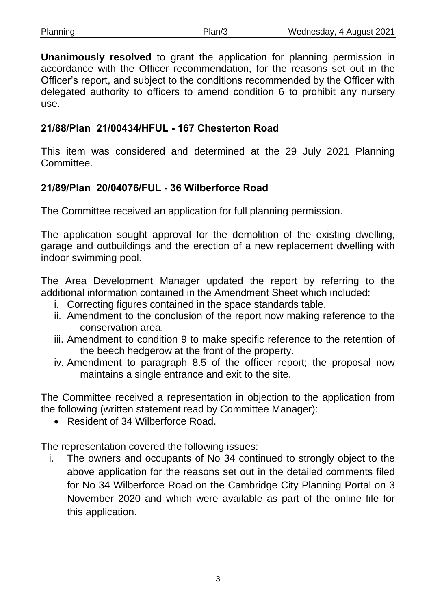| Planning | Plan/3 | Wednesday, 4 August 2021 |
|----------|--------|--------------------------|

**Unanimously resolved** to grant the application for planning permission in accordance with the Officer recommendation, for the reasons set out in the Officer's report, and subject to the conditions recommended by the Officer with delegated authority to officers to amend condition 6 to prohibit any nursery use.

# **21/88/Plan 21/00434/HFUL - 167 Chesterton Road**

This item was considered and determined at the 29 July 2021 Planning **Committee.** 

# **21/89/Plan 20/04076/FUL - 36 Wilberforce Road**

The Committee received an application for full planning permission.

The application sought approval for the demolition of the existing dwelling, garage and outbuildings and the erection of a new replacement dwelling with indoor swimming pool.

The Area Development Manager updated the report by referring to the additional information contained in the Amendment Sheet which included:

- i. Correcting figures contained in the space standards table.
- ii. Amendment to the conclusion of the report now making reference to the conservation area.
- iii. Amendment to condition 9 to make specific reference to the retention of the beech hedgerow at the front of the property.
- iv. Amendment to paragraph 8.5 of the officer report; the proposal now maintains a single entrance and exit to the site.

The Committee received a representation in objection to the application from the following (written statement read by Committee Manager):

• Resident of 34 Wilberforce Road.

The representation covered the following issues:

i. The owners and occupants of No 34 continued to strongly object to the above application for the reasons set out in the detailed comments filed for No 34 Wilberforce Road on the Cambridge City Planning Portal on 3 November 2020 and which were available as part of the online file for this application.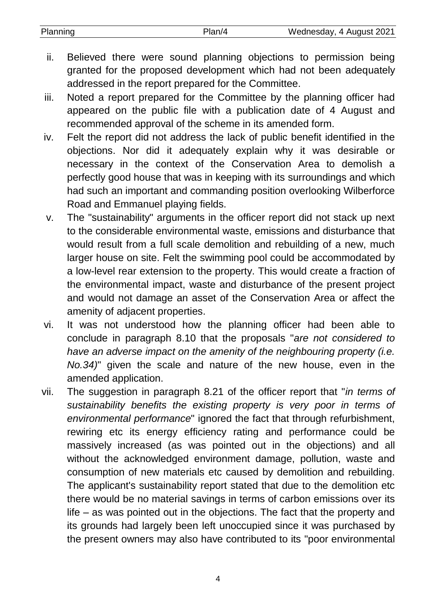| Planning | Plan/4 | Wednesday, 4 August 2021 |
|----------|--------|--------------------------|
|          |        |                          |

- ii. Believed there were sound planning objections to permission being granted for the proposed development which had not been adequately addressed in the report prepared for the Committee.
- iii. Noted a report prepared for the Committee by the planning officer had appeared on the public file with a publication date of 4 August and recommended approval of the scheme in its amended form.
- iv. Felt the report did not address the lack of public benefit identified in the objections. Nor did it adequately explain why it was desirable or necessary in the context of the Conservation Area to demolish a perfectly good house that was in keeping with its surroundings and which had such an important and commanding position overlooking Wilberforce Road and Emmanuel playing fields.
- v. The "sustainability" arguments in the officer report did not stack up next to the considerable environmental waste, emissions and disturbance that would result from a full scale demolition and rebuilding of a new, much larger house on site. Felt the swimming pool could be accommodated by a low-level rear extension to the property. This would create a fraction of the environmental impact, waste and disturbance of the present project and would not damage an asset of the Conservation Area or affect the amenity of adjacent properties.
- vi. It was not understood how the planning officer had been able to conclude in paragraph 8.10 that the proposals "*are not considered to have an adverse impact on the amenity of the neighbouring property (i.e. No.34)*" given the scale and nature of the new house, even in the amended application.
- vii. The suggestion in paragraph 8.21 of the officer report that "*in terms of sustainability benefits the existing property is very poor in terms of environmental performance*" ignored the fact that through refurbishment, rewiring etc its energy efficiency rating and performance could be massively increased (as was pointed out in the objections) and all without the acknowledged environment damage, pollution, waste and consumption of new materials etc caused by demolition and rebuilding. The applicant's sustainability report stated that due to the demolition etc there would be no material savings in terms of carbon emissions over its life – as was pointed out in the objections. The fact that the property and its grounds had largely been left unoccupied since it was purchased by the present owners may also have contributed to its "poor environmental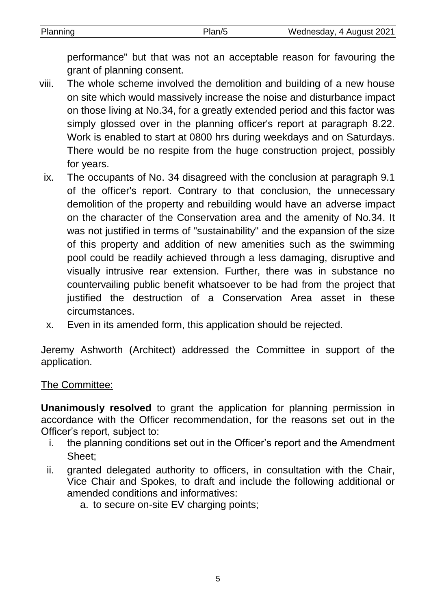| Planning | Wednesday, 4 August 2021 |
|----------|--------------------------|
|          |                          |

performance" but that was not an acceptable reason for favouring the grant of planning consent.

- viii. The whole scheme involved the demolition and building of a new house on site which would massively increase the noise and disturbance impact on those living at No.34, for a greatly extended period and this factor was simply glossed over in the planning officer's report at paragraph 8.22. Work is enabled to start at 0800 hrs during weekdays and on Saturdays. There would be no respite from the huge construction project, possibly for years.
	- ix. The occupants of No. 34 disagreed with the conclusion at paragraph 9.1 of the officer's report. Contrary to that conclusion, the unnecessary demolition of the property and rebuilding would have an adverse impact on the character of the Conservation area and the amenity of No.34. It was not justified in terms of "sustainability" and the expansion of the size of this property and addition of new amenities such as the swimming pool could be readily achieved through a less damaging, disruptive and visually intrusive rear extension. Further, there was in substance no countervailing public benefit whatsoever to be had from the project that justified the destruction of a Conservation Area asset in these circumstances.
	- x. Even in its amended form, this application should be rejected.

Jeremy Ashworth (Architect) addressed the Committee in support of the application.

# The Committee:

**Unanimously resolved** to grant the application for planning permission in accordance with the Officer recommendation, for the reasons set out in the Officer's report, subject to:

- i. the planning conditions set out in the Officer's report and the Amendment Sheet;
- ii. granted delegated authority to officers, in consultation with the Chair, Vice Chair and Spokes, to draft and include the following additional or amended conditions and informatives:
	- a. to secure on-site EV charging points;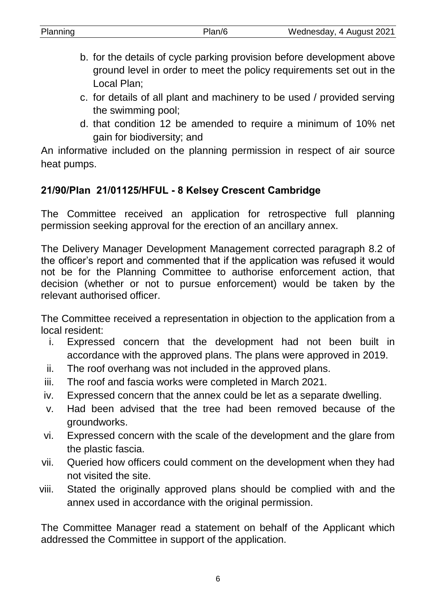| Planning | Wednesday, 4 August 2021 |
|----------|--------------------------|
|          |                          |

- b. for the details of cycle parking provision before development above ground level in order to meet the policy requirements set out in the Local Plan;
- c. for details of all plant and machinery to be used / provided serving the swimming pool;
- d. that condition 12 be amended to require a minimum of 10% net gain for biodiversity; and

An informative included on the planning permission in respect of air source heat pumps.

# **21/90/Plan 21/01125/HFUL - 8 Kelsey Crescent Cambridge**

The Committee received an application for retrospective full planning permission seeking approval for the erection of an ancillary annex.

The Delivery Manager Development Management corrected paragraph 8.2 of the officer's report and commented that if the application was refused it would not be for the Planning Committee to authorise enforcement action, that decision (whether or not to pursue enforcement) would be taken by the relevant authorised officer.

The Committee received a representation in objection to the application from a local resident:

- i. Expressed concern that the development had not been built in accordance with the approved plans. The plans were approved in 2019.
- ii. The roof overhang was not included in the approved plans.
- iii. The roof and fascia works were completed in March 2021.
- iv. Expressed concern that the annex could be let as a separate dwelling.
- v. Had been advised that the tree had been removed because of the groundworks.
- vi. Expressed concern with the scale of the development and the glare from the plastic fascia.
- vii. Queried how officers could comment on the development when they had not visited the site.
- viii. Stated the originally approved plans should be complied with and the annex used in accordance with the original permission.

The Committee Manager read a statement on behalf of the Applicant which addressed the Committee in support of the application.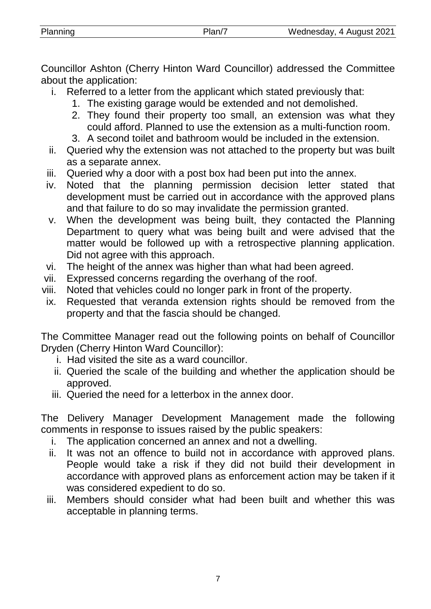Councillor Ashton (Cherry Hinton Ward Councillor) addressed the Committee about the application:

- i. Referred to a letter from the applicant which stated previously that:
	- 1. The existing garage would be extended and not demolished.
	- 2. They found their property too small, an extension was what they could afford. Planned to use the extension as a multi-function room.
	- 3. A second toilet and bathroom would be included in the extension.
- ii. Queried why the extension was not attached to the property but was built as a separate annex.
- iii. Queried why a door with a post box had been put into the annex.
- iv. Noted that the planning permission decision letter stated that development must be carried out in accordance with the approved plans and that failure to do so may invalidate the permission granted.
- v. When the development was being built, they contacted the Planning Department to query what was being built and were advised that the matter would be followed up with a retrospective planning application. Did not agree with this approach.
- vi. The height of the annex was higher than what had been agreed.
- vii. Expressed concerns regarding the overhang of the roof.
- viii. Noted that vehicles could no longer park in front of the property.
- ix. Requested that veranda extension rights should be removed from the property and that the fascia should be changed.

The Committee Manager read out the following points on behalf of Councillor Dryden (Cherry Hinton Ward Councillor):

- i. Had visited the site as a ward councillor.
- ii. Queried the scale of the building and whether the application should be approved.
- iii. Queried the need for a letterbox in the annex door.

The Delivery Manager Development Management made the following comments in response to issues raised by the public speakers:

- i. The application concerned an annex and not a dwelling.
- ii. It was not an offence to build not in accordance with approved plans. People would take a risk if they did not build their development in accordance with approved plans as enforcement action may be taken if it was considered expedient to do so.
- iii. Members should consider what had been built and whether this was acceptable in planning terms.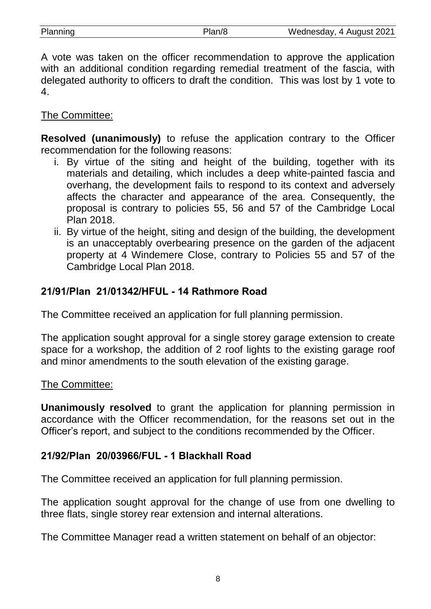| Planning | Plan/8 | Wednesday, 4 August 2021 |
|----------|--------|--------------------------|
|          |        |                          |

A vote was taken on the officer recommendation to approve the application with an additional condition regarding remedial treatment of the fascia, with delegated authority to officers to draft the condition. This was lost by 1 vote to 4.

## The Committee:

**Resolved (unanimously)** to refuse the application contrary to the Officer recommendation for the following reasons:

- i. By virtue of the siting and height of the building, together with its materials and detailing, which includes a deep white-painted fascia and overhang, the development fails to respond to its context and adversely affects the character and appearance of the area. Consequently, the proposal is contrary to policies 55, 56 and 57 of the Cambridge Local Plan 2018.
- ii. By virtue of the height, siting and design of the building, the development is an unacceptably overbearing presence on the garden of the adjacent property at 4 Windemere Close, contrary to Policies 55 and 57 of the Cambridge Local Plan 2018.

# **21/91/Plan 21/01342/HFUL - 14 Rathmore Road**

The Committee received an application for full planning permission.

The application sought approval for a single storey garage extension to create space for a workshop, the addition of 2 roof lights to the existing garage roof and minor amendments to the south elevation of the existing garage.

## The Committee:

**Unanimously resolved** to grant the application for planning permission in accordance with the Officer recommendation, for the reasons set out in the Officer's report, and subject to the conditions recommended by the Officer.

## **21/92/Plan 20/03966/FUL - 1 Blackhall Road**

The Committee received an application for full planning permission.

The application sought approval for the change of use from one dwelling to three flats, single storey rear extension and internal alterations.

The Committee Manager read a written statement on behalf of an objector: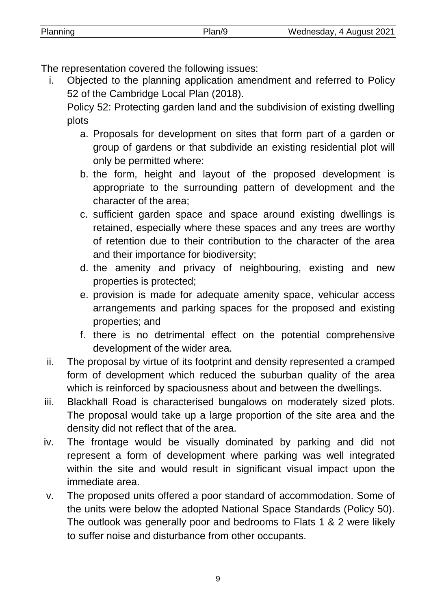The representation covered the following issues:

i. Objected to the planning application amendment and referred to Policy 52 of the Cambridge Local Plan (2018).

Policy 52: Protecting garden land and the subdivision of existing dwelling plots

- a. Proposals for development on sites that form part of a garden or group of gardens or that subdivide an existing residential plot will only be permitted where:
- b. the form, height and layout of the proposed development is appropriate to the surrounding pattern of development and the character of the area;
- c. sufficient garden space and space around existing dwellings is retained, especially where these spaces and any trees are worthy of retention due to their contribution to the character of the area and their importance for biodiversity;
- d. the amenity and privacy of neighbouring, existing and new properties is protected;
- e. provision is made for adequate amenity space, vehicular access arrangements and parking spaces for the proposed and existing properties; and
- f. there is no detrimental effect on the potential comprehensive development of the wider area.
- ii. The proposal by virtue of its footprint and density represented a cramped form of development which reduced the suburban quality of the area which is reinforced by spaciousness about and between the dwellings.
- iii. Blackhall Road is characterised bungalows on moderately sized plots. The proposal would take up a large proportion of the site area and the density did not reflect that of the area.
- iv. The frontage would be visually dominated by parking and did not represent a form of development where parking was well integrated within the site and would result in significant visual impact upon the immediate area.
- v. The proposed units offered a poor standard of accommodation. Some of the units were below the adopted National Space Standards (Policy 50). The outlook was generally poor and bedrooms to Flats 1 & 2 were likely to suffer noise and disturbance from other occupants.